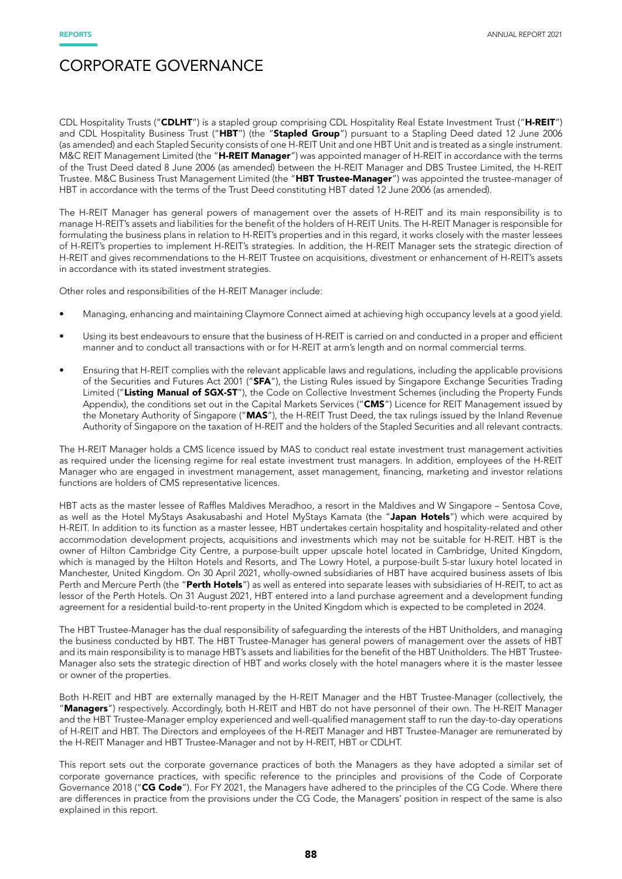CDL Hospitality Trusts ("CDLHT") is a stapled group comprising CDL Hospitality Real Estate Investment Trust ("H-REIT") and CDL Hospitality Business Trust ("HBT") (the "Stapled Group") pursuant to a Stapling Deed dated 12 June 2006 (as amended) and each Stapled Security consists of one H-REIT Unit and one HBT Unit and is treated as a single instrument. M&C REIT Management Limited (the "H-REIT Manager") was appointed manager of H-REIT in accordance with the terms of the Trust Deed dated 8 June 2006 (as amended) between the H-REIT Manager and DBS Trustee Limited, the H-REIT Trustee. M&C Business Trust Management Limited (the "HBT Trustee-Manager") was appointed the trustee-manager of HBT in accordance with the terms of the Trust Deed constituting HBT dated 12 June 2006 (as amended).

The H-REIT Manager has general powers of management over the assets of H-REIT and its main responsibility is to manage H-REIT's assets and liabilities for the benefit of the holders of H-REIT Units. The H-REIT Manager is responsible for formulating the business plans in relation to H-REIT's properties and in this regard, it works closely with the master lessees of H-REIT's properties to implement H-REIT's strategies. In addition, the H-REIT Manager sets the strategic direction of H-REIT and gives recommendations to the H-REIT Trustee on acquisitions, divestment or enhancement of H-REIT's assets in accordance with its stated investment strategies.

Other roles and responsibilities of the H-REIT Manager include:

- Managing, enhancing and maintaining Claymore Connect aimed at achieving high occupancy levels at a good yield.
- Using its best endeavours to ensure that the business of H-REIT is carried on and conducted in a proper and efficient manner and to conduct all transactions with or for H-REIT at arm's length and on normal commercial terms.
- Ensuring that H-REIT complies with the relevant applicable laws and regulations, including the applicable provisions of the Securities and Futures Act 2001 ("SFA"), the Listing Rules issued by Singapore Exchange Securities Trading Limited ("Listing Manual of SGX-ST"), the Code on Collective Investment Schemes (including the Property Funds Appendix), the conditions set out in the Capital Markets Services ("CMS") Licence for REIT Management issued by the Monetary Authority of Singapore ("MAS"), the H-REIT Trust Deed, the tax rulings issued by the Inland Revenue Authority of Singapore on the taxation of H-REIT and the holders of the Stapled Securities and all relevant contracts.

The H-REIT Manager holds a CMS licence issued by MAS to conduct real estate investment trust management activities as required under the licensing regime for real estate investment trust managers. In addition, employees of the H-REIT Manager who are engaged in investment management, asset management, financing, marketing and investor relations functions are holders of CMS representative licences.

HBT acts as the master lessee of Raffles Maldives Meradhoo, a resort in the Maldives and W Singapore – Sentosa Cove, as well as the Hotel MyStays Asakusabashi and Hotel MyStays Kamata (the "Japan Hotels") which were acquired by H-REIT. In addition to its function as a master lessee, HBT undertakes certain hospitality and hospitality-related and other accommodation development projects, acquisitions and investments which may not be suitable for H-REIT. HBT is the owner of Hilton Cambridge City Centre, a purpose-built upper upscale hotel located in Cambridge, United Kingdom, which is managed by the Hilton Hotels and Resorts, and The Lowry Hotel, a purpose-built 5-star luxury hotel located in Manchester, United Kingdom. On 30 April 2021, wholly-owned subsidiaries of HBT have acquired business assets of Ibis Perth and Mercure Perth (the "Perth Hotels") as well as entered into separate leases with subsidiaries of H-REIT, to act as lessor of the Perth Hotels. On 31 August 2021, HBT entered into a land purchase agreement and a development funding agreement for a residential build-to-rent property in the United Kingdom which is expected to be completed in 2024.

The HBT Trustee-Manager has the dual responsibility of safeguarding the interests of the HBT Unitholders, and managing the business conducted by HBT. The HBT Trustee-Manager has general powers of management over the assets of HBT and its main responsibility is to manage HBT's assets and liabilities for the benefit of the HBT Unitholders. The HBT Trustee-Manager also sets the strategic direction of HBT and works closely with the hotel managers where it is the master lessee or owner of the properties.

Both H-REIT and HBT are externally managed by the H-REIT Manager and the HBT Trustee-Manager (collectively, the "Managers") respectively. Accordingly, both H-REIT and HBT do not have personnel of their own. The H-REIT Manager and the HBT Trustee-Manager employ experienced and well-qualified management staff to run the day-to-day operations of H-REIT and HBT. The Directors and employees of the H-REIT Manager and HBT Trustee-Manager are remunerated by the H-REIT Manager and HBT Trustee-Manager and not by H-REIT, HBT or CDLHT.

This report sets out the corporate governance practices of both the Managers as they have adopted a similar set of corporate governance practices, with specific reference to the principles and provisions of the Code of Corporate Governance 2018 ("CG Code"). For FY 2021, the Managers have adhered to the principles of the CG Code. Where there are differences in practice from the provisions under the CG Code, the Managers' position in respect of the same is also explained in this report.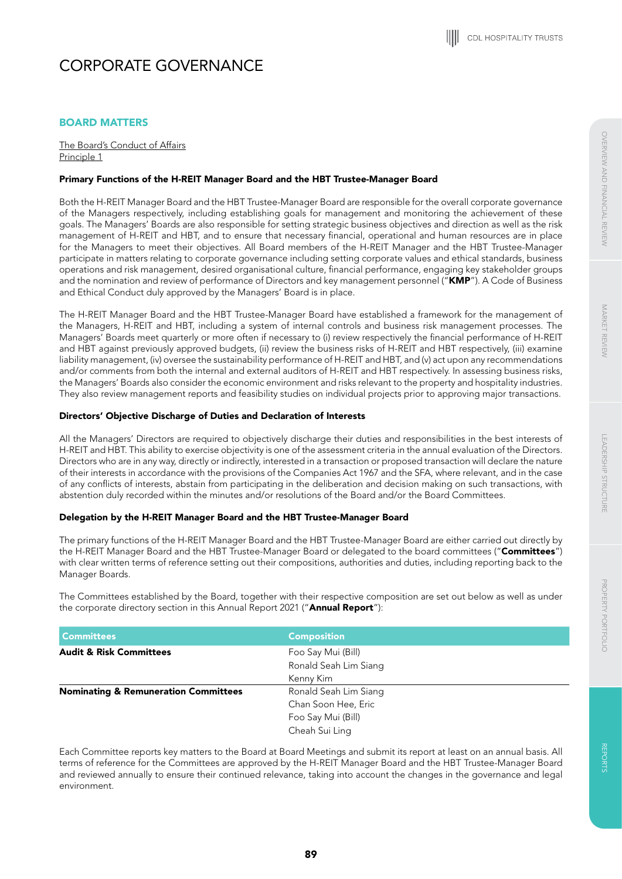# BOARD MATTERS

The Board's Conduct of Affairs Principle 1

# Primary Functions of the H-REIT Manager Board and the HBT Trustee-Manager Board

Both the H-REIT Manager Board and the HBT Trustee-Manager Board are responsible for the overall corporate governance of the Managers respectively, including establishing goals for management and monitoring the achievement of these goals. The Managers' Boards are also responsible for setting strategic business objectives and direction as well as the risk management of H-REIT and HBT, and to ensure that necessary financial, operational and human resources are in place for the Managers to meet their objectives. All Board members of the H-REIT Manager and the HBT Trustee-Manager participate in matters relating to corporate governance including setting corporate values and ethical standards, business operations and risk management, desired organisational culture, financial performance, engaging key stakeholder groups and the nomination and review of performance of Directors and key management personnel ("KMP"). A Code of Business and Ethical Conduct duly approved by the Managers' Board is in place.

The H-REIT Manager Board and the HBT Trustee-Manager Board have established a framework for the management of the Managers, H-REIT and HBT, including a system of internal controls and business risk management processes. The Managers' Boards meet quarterly or more often if necessary to (i) review respectively the financial performance of H-REIT and HBT against previously approved budgets, (ii) review the business risks of H-REIT and HBT respectively, (iii) examine liability management, (iv) oversee the sustainability performance of H-REIT and HBT, and (v) act upon any recommendations and/or comments from both the internal and external auditors of H-REIT and HBT respectively. In assessing business risks, the Managers' Boards also consider the economic environment and risks relevant to the property and hospitality industries. They also review management reports and feasibility studies on individual projects prior to approving major transactions.

## Directors' Objective Discharge of Duties and Declaration of Interests

All the Managers' Directors are required to objectively discharge their duties and responsibilities in the best interests of H-REIT and HBT. This ability to exercise objectivity is one of the assessment criteria in the annual evaluation of the Directors. Directors who are in any way, directly or indirectly, interested in a transaction or proposed transaction will declare the nature of their interests in accordance with the provisions of the Companies Act 1967 and the SFA, where relevant, and in the case of any conflicts of interests, abstain from participating in the deliberation and decision making on such transactions, with abstention duly recorded within the minutes and/or resolutions of the Board and/or the Board Committees.

# Delegation by the H-REIT Manager Board and the HBT Trustee-Manager Board

The primary functions of the H-REIT Manager Board and the HBT Trustee-Manager Board are either carried out directly by the H-REIT Manager Board and the HBT Trustee-Manager Board or delegated to the board committees ("Committees") with clear written terms of reference setting out their compositions, authorities and duties, including reporting back to the Manager Boards.

The Committees established by the Board, together with their respective composition are set out below as well as under the corporate directory section in this Annual Report 2021 ("Annual Report"):

| <b>Committees</b>                               | <b>Composition</b>    |
|-------------------------------------------------|-----------------------|
| <b>Audit &amp; Risk Committees</b>              | Foo Say Mui (Bill)    |
|                                                 | Ronald Seah Lim Siang |
|                                                 | Kenny Kim             |
| <b>Nominating &amp; Remuneration Committees</b> | Ronald Seah Lim Siang |
|                                                 | Chan Soon Hee, Eric   |
|                                                 | Foo Say Mui (Bill)    |
|                                                 | Cheah Sui Ling        |

Each Committee reports key matters to the Board at Board Meetings and submit its report at least on an annual basis. All terms of reference for the Committees are approved by the H-REIT Manager Board and the HBT Trustee-Manager Board and reviewed annually to ensure their continued relevance, taking into account the changes in the governance and legal environment.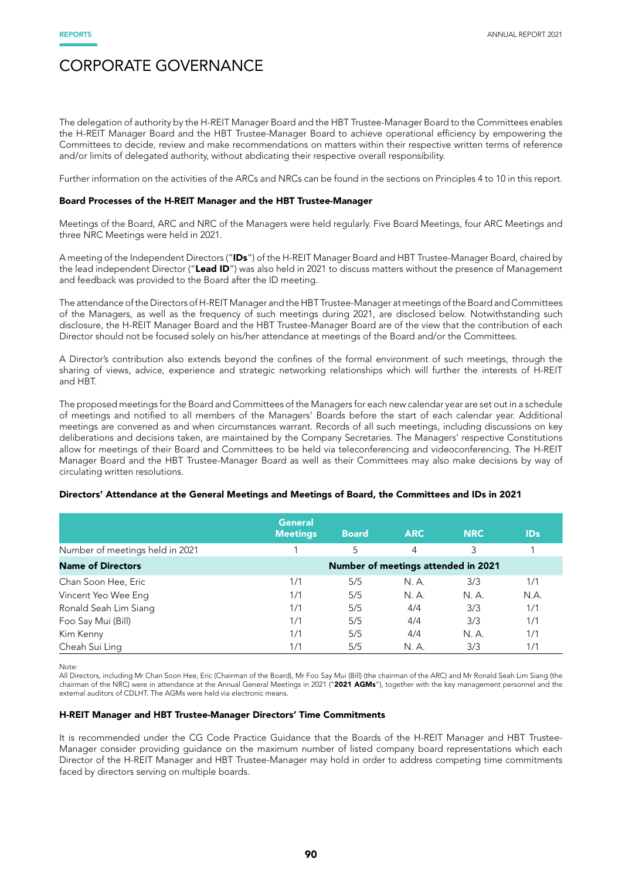The delegation of authority by the H-REIT Manager Board and the HBT Trustee-Manager Board to the Committees enables the H-REIT Manager Board and the HBT Trustee-Manager Board to achieve operational efficiency by empowering the Committees to decide, review and make recommendations on matters within their respective written terms of reference and/or limits of delegated authority, without abdicating their respective overall responsibility.

Further information on the activities of the ARCs and NRCs can be found in the sections on Principles 4 to 10 in this report.

# Board Processes of the H-REIT Manager and the HBT Trustee-Manager

Meetings of the Board, ARC and NRC of the Managers were held regularly. Five Board Meetings, four ARC Meetings and three NRC Meetings were held in 2021.

A meeting of the Independent Directors ("IDs") of the H-REIT Manager Board and HBT Trustee-Manager Board, chaired by the lead independent Director ("Lead ID") was also held in 2021 to discuss matters without the presence of Management and feedback was provided to the Board after the ID meeting.

The attendance of the Directors of H-REIT Manager and the HBT Trustee-Manager at meetings of the Board and Committees of the Managers, as well as the frequency of such meetings during 2021, are disclosed below. Notwithstanding such disclosure, the H-REIT Manager Board and the HBT Trustee-Manager Board are of the view that the contribution of each Director should not be focused solely on his/her attendance at meetings of the Board and/or the Committees.

A Director's contribution also extends beyond the confines of the formal environment of such meetings, through the sharing of views, advice, experience and strategic networking relationships which will further the interests of H-REIT and HBT.

The proposed meetings for the Board and Committees of the Managers for each new calendar year are set out in a schedule of meetings and notified to all members of the Managers' Boards before the start of each calendar year. Additional meetings are convened as and when circumstances warrant. Records of all such meetings, including discussions on key deliberations and decisions taken, are maintained by the Company Secretaries. The Managers' respective Constitutions allow for meetings of their Board and Committees to be held via teleconferencing and videoconferencing. The H-REIT Manager Board and the HBT Trustee-Manager Board as well as their Committees may also make decisions by way of circulating written resolutions.

### Directors' Attendance at the General Meetings and Meetings of Board, the Committees and IDs in 2021

|                                 | <b>General</b><br><b>Meetings</b> | <b>Board</b> | <b>ARC</b>                          | <b>NRC</b> | <b>IDs</b> |
|---------------------------------|-----------------------------------|--------------|-------------------------------------|------------|------------|
| Number of meetings held in 2021 |                                   | 5            | 4                                   | 3          |            |
| <b>Name of Directors</b>        |                                   |              | Number of meetings attended in 2021 |            |            |
| Chan Soon Hee, Eric             | 1/1                               | 5/5          | N. A.                               | 3/3        | 1/1        |
| Vincent Yeo Wee Eng             | 1/1                               | 5/5          | N. A.                               | N. A.      | N.A.       |
| Ronald Seah Lim Siang           | 1/1                               | 5/5          | 4/4                                 | 3/3        | 1/1        |
| Foo Say Mui (Bill)              | 1/1                               | 5/5          | 4/4                                 | 3/3        | 1/1        |
| Kim Kenny                       | 1/1                               | 5/5          | 4/4                                 | N. A.      | 1/1        |
| Cheah Sui Ling                  | 1/1                               | 5/5          | N. A.                               | 3/3        | 1/1        |

Note:

All Directors, including Mr Chan Soon Hee, Eric (Chairman of the Board), Mr Foo Say Mui (Bill) (the chairman of the ARC) and Mr Ronald Seah Lim Siang (the chairman of the NRC) were in attendance at the Annual General Meetings in 2021 ("2021 AGMs"), together with the key management personnel and the external auditors of CDLHT. The AGMs were held via electronic means.

### H-REIT Manager and HBT Trustee-Manager Directors' Time Commitments

It is recommended under the CG Code Practice Guidance that the Boards of the H-REIT Manager and HBT Trustee-Manager consider providing guidance on the maximum number of listed company board representations which each Director of the H-REIT Manager and HBT Trustee-Manager may hold in order to address competing time commitments faced by directors serving on multiple boards.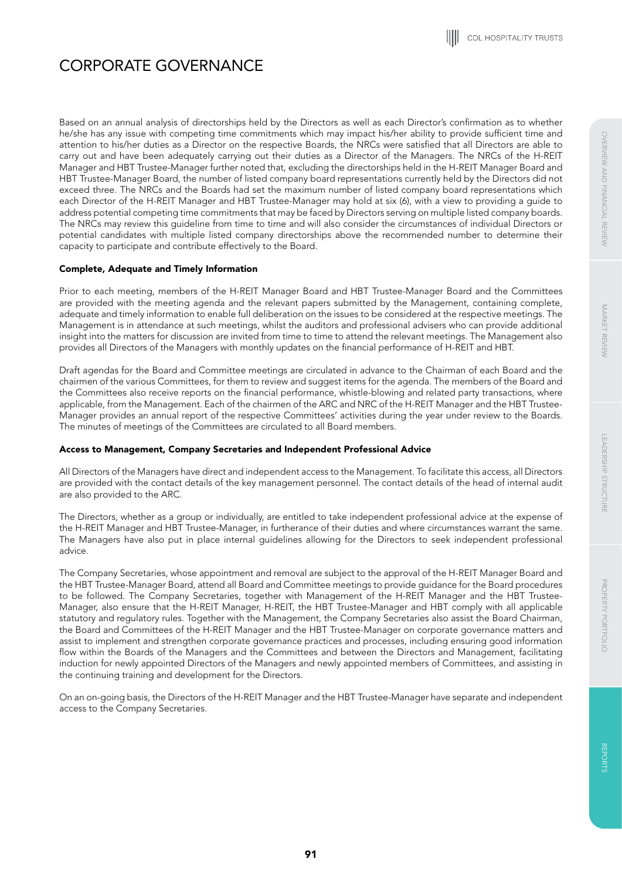Based on an annual analysis of directorships held by the Directors as well as each Director's confirmation as to whether he/she has any issue with competing time commitments which may impact his/her ability to provide sufficient time and attention to his/her duties as a Director on the respective Boards, the NRCs were satisfied that all Directors are able to carry out and have been adequately carrying out their duties as a Director of the Managers. The NRCs of the H-REIT Manager and HBT Trustee-Manager further noted that, excluding the directorships held in the H-REIT Manager Board and HBT Trustee-Manager Board, the number of listed company board representations currently held by the Directors did not exceed three. The NRCs and the Boards had set the maximum number of listed company board representations which each Director of the H-REIT Manager and HBT Trustee-Manager may hold at six (6), with a view to providing a guide to address potential competing time commitments that may be faced by Directors serving on multiple listed company boards. The NRCs may review this guideline from time to time and will also consider the circumstances of individual Directors or potential candidates with multiple listed company directorships above the recommended number to determine their capacity to participate and contribute effectively to the Board.

# Complete, Adequate and Timely Information

Prior to each meeting, members of the H-REIT Manager Board and HBT Trustee-Manager Board and the Committees are provided with the meeting agenda and the relevant papers submitted by the Management, containing complete, adequate and timely information to enable full deliberation on the issues to be considered at the respective meetings. The Management is in attendance at such meetings, whilst the auditors and professional advisers who can provide additional insight into the matters for discussion are invited from time to time to attend the relevant meetings. The Management also provides all Directors of the Managers with monthly updates on the financial performance of H-REIT and HBT.

Draft agendas for the Board and Committee meetings are circulated in advance to the Chairman of each Board and the chairmen of the various Committees, for them to review and suggest items for the agenda. The members of the Board and the Committees also receive reports on the financial performance, whistle-blowing and related party transactions, where applicable, from the Management. Each of the chairmen of the ARC and NRC of the H-REIT Manager and the HBT Trustee-Manager provides an annual report of the respective Committees' activities during the year under review to the Boards. The minutes of meetings of the Committees are circulated to all Board members.

# Access to Management, Company Secretaries and Independent Professional Advice

All Directors of the Managers have direct and independent access to the Management. To facilitate this access, all Directors are provided with the contact details of the key management personnel. The contact details of the head of internal audit are also provided to the ARC.

The Directors, whether as a group or individually, are entitled to take independent professional advice at the expense of the H-REIT Manager and HBT Trustee-Manager, in furtherance of their duties and where circumstances warrant the same. The Managers have also put in place internal guidelines allowing for the Directors to seek independent professional advice.

The Company Secretaries, whose appointment and removal are subject to the approval of the H-REIT Manager Board and the HBT Trustee-Manager Board, attend all Board and Committee meetings to provide guidance for the Board procedures to be followed. The Company Secretaries, together with Management of the H-REIT Manager and the HBT Trustee-Manager, also ensure that the H-REIT Manager, H-REIT, the HBT Trustee-Manager and HBT comply with all applicable statutory and regulatory rules. Together with the Management, the Company Secretaries also assist the Board Chairman, the Board and Committees of the H-REIT Manager and the HBT Trustee-Manager on corporate governance matters and assist to implement and strengthen corporate governance practices and processes, including ensuring good information flow within the Boards of the Managers and the Committees and between the Directors and Management, facilitating induction for newly appointed Directors of the Managers and newly appointed members of Committees, and assisting in the continuing training and development for the Directors.

On an on-going basis, the Directors of the H-REIT Manager and the HBT Trustee-Manager have separate and independent access to the Company Secretaries.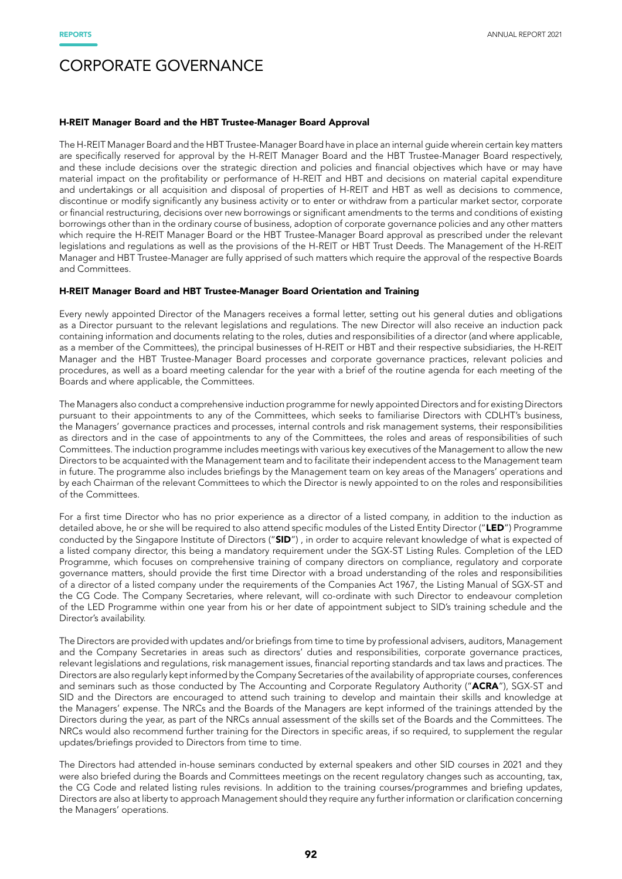#### H-REIT Manager Board and the HBT Trustee-Manager Board Approval

The H-REIT Manager Board and the HBT Trustee-Manager Board have in place an internal guide wherein certain key matters are specifically reserved for approval by the H-REIT Manager Board and the HBT Trustee-Manager Board respectively, and these include decisions over the strategic direction and policies and financial objectives which have or may have material impact on the profitability or performance of H-REIT and HBT and decisions on material capital expenditure and undertakings or all acquisition and disposal of properties of H-REIT and HBT as well as decisions to commence, discontinue or modify significantly any business activity or to enter or withdraw from a particular market sector, corporate or financial restructuring, decisions over new borrowings or significant amendments to the terms and conditions of existing borrowings other than in the ordinary course of business, adoption of corporate governance policies and any other matters which require the H-REIT Manager Board or the HBT Trustee-Manager Board approval as prescribed under the relevant legislations and regulations as well as the provisions of the H-REIT or HBT Trust Deeds. The Management of the H-REIT Manager and HBT Trustee-Manager are fully apprised of such matters which require the approval of the respective Boards and Committees.

#### H-REIT Manager Board and HBT Trustee-Manager Board Orientation and Training

Every newly appointed Director of the Managers receives a formal letter, setting out his general duties and obligations as a Director pursuant to the relevant legislations and regulations. The new Director will also receive an induction pack containing information and documents relating to the roles, duties and responsibilities of a director (and where applicable, as a member of the Committees), the principal businesses of H-REIT or HBT and their respective subsidiaries, the H-REIT Manager and the HBT Trustee-Manager Board processes and corporate governance practices, relevant policies and procedures, as well as a board meeting calendar for the year with a brief of the routine agenda for each meeting of the Boards and where applicable, the Committees.

The Managers also conduct a comprehensive induction programme for newly appointed Directors and for existing Directors pursuant to their appointments to any of the Committees, which seeks to familiarise Directors with CDLHT's business, the Managers' governance practices and processes, internal controls and risk management systems, their responsibilities as directors and in the case of appointments to any of the Committees, the roles and areas of responsibilities of such Committees. The induction programme includes meetings with various key executives of the Management to allow the new Directors to be acquainted with the Management team and to facilitate their independent access to the Management team in future. The programme also includes briefings by the Management team on key areas of the Managers' operations and by each Chairman of the relevant Committees to which the Director is newly appointed to on the roles and responsibilities of the Committees.

For a first time Director who has no prior experience as a director of a listed company, in addition to the induction as detailed above, he or she will be required to also attend specific modules of the Listed Entity Director ("LED") Programme conducted by the Singapore Institute of Directors ("SID"), in order to acquire relevant knowledge of what is expected of a listed company director, this being a mandatory requirement under the SGX-ST Listing Rules. Completion of the LED Programme, which focuses on comprehensive training of company directors on compliance, regulatory and corporate governance matters, should provide the first time Director with a broad understanding of the roles and responsibilities of a director of a listed company under the requirements of the Companies Act 1967, the Listing Manual of SGX-ST and the CG Code. The Company Secretaries, where relevant, will co-ordinate with such Director to endeavour completion of the LED Programme within one year from his or her date of appointment subject to SID's training schedule and the Director's availability.

The Directors are provided with updates and/or briefings from time to time by professional advisers, auditors, Management and the Company Secretaries in areas such as directors' duties and responsibilities, corporate governance practices, relevant legislations and regulations, risk management issues, financial reporting standards and tax laws and practices. The Directors are also regularly kept informed by the Company Secretaries of the availability of appropriate courses, conferences and seminars such as those conducted by The Accounting and Corporate Regulatory Authority ("ACRA"), SGX-ST and SID and the Directors are encouraged to attend such training to develop and maintain their skills and knowledge at the Managers' expense. The NRCs and the Boards of the Managers are kept informed of the trainings attended by the Directors during the year, as part of the NRCs annual assessment of the skills set of the Boards and the Committees. The NRCs would also recommend further training for the Directors in specific areas, if so required, to supplement the regular updates/briefings provided to Directors from time to time.

The Directors had attended in-house seminars conducted by external speakers and other SID courses in 2021 and they were also briefed during the Boards and Committees meetings on the recent regulatory changes such as accounting, tax, the CG Code and related listing rules revisions. In addition to the training courses/programmes and briefing updates, Directors are also at liberty to approach Management should they require any further information or clarification concerning the Managers' operations.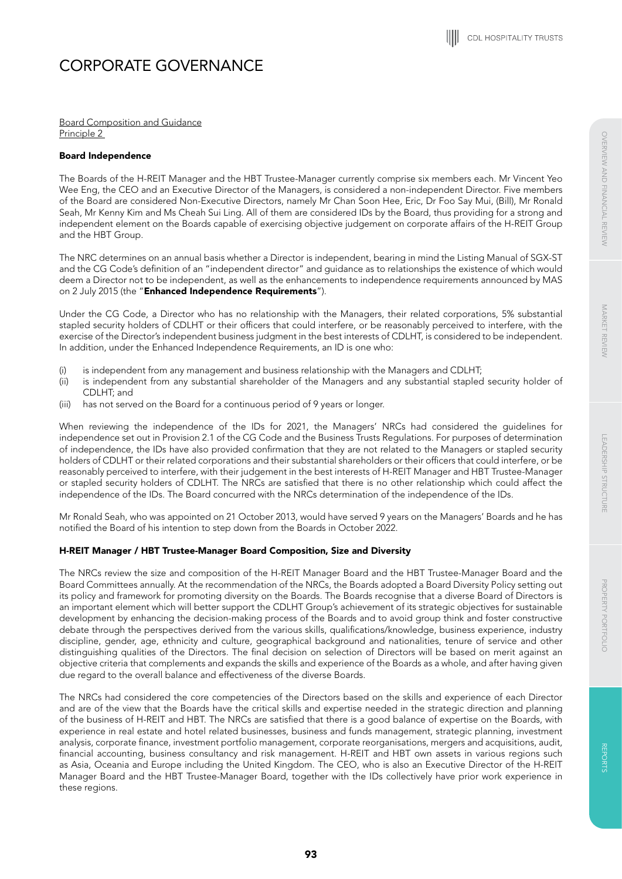Board Composition and Guidance Principle 2

# Board Independence

The Boards of the H-REIT Manager and the HBT Trustee-Manager currently comprise six members each. Mr Vincent Yeo Wee Eng, the CEO and an Executive Director of the Managers, is considered a non-independent Director. Five members of the Board are considered Non-Executive Directors, namely Mr Chan Soon Hee, Eric, Dr Foo Say Mui, (Bill), Mr Ronald Seah, Mr Kenny Kim and Ms Cheah Sui Ling. All of them are considered IDs by the Board, thus providing for a strong and independent element on the Boards capable of exercising objective judgement on corporate affairs of the H-REIT Group and the HBT Group.

The NRC determines on an annual basis whether a Director is independent, bearing in mind the Listing Manual of SGX-ST and the CG Code's definition of an "independent director" and guidance as to relationships the existence of which would deem a Director not to be independent, as well as the enhancements to independence requirements announced by MAS on 2 July 2015 (the "Enhanced Independence Requirements").

Under the CG Code, a Director who has no relationship with the Managers, their related corporations, 5% substantial stapled security holders of CDLHT or their officers that could interfere, or be reasonably perceived to interfere, with the exercise of the Director's independent business judgment in the best interests of CDLHT, is considered to be independent. In addition, under the Enhanced Independence Requirements, an ID is one who:

- (i) is independent from any management and business relationship with the Managers and CDLHT;
- (ii) is independent from any substantial shareholder of the Managers and any substantial stapled security holder of CDLHT; and
- (iii) has not served on the Board for a continuous period of 9 years or longer.

When reviewing the independence of the IDs for 2021, the Managers' NRCs had considered the guidelines for independence set out in Provision 2.1 of the CG Code and the Business Trusts Regulations. For purposes of determination of independence, the IDs have also provided confirmation that they are not related to the Managers or stapled security holders of CDLHT or their related corporations and their substantial shareholders or their officers that could interfere, or be reasonably perceived to interfere, with their judgement in the best interests of H-REIT Manager and HBT Trustee-Manager or stapled security holders of CDLHT. The NRCs are satisfied that there is no other relationship which could affect the independence of the IDs. The Board concurred with the NRCs determination of the independence of the IDs.

Mr Ronald Seah, who was appointed on 21 October 2013, would have served 9 years on the Managers' Boards and he has notified the Board of his intention to step down from the Boards in October 2022.

# H-REIT Manager / HBT Trustee-Manager Board Composition, Size and Diversity

The NRCs review the size and composition of the H-REIT Manager Board and the HBT Trustee-Manager Board and the Board Committees annually. At the recommendation of the NRCs, the Boards adopted a Board Diversity Policy setting out its policy and framework for promoting diversity on the Boards. The Boards recognise that a diverse Board of Directors is an important element which will better support the CDLHT Group's achievement of its strategic objectives for sustainable development by enhancing the decision-making process of the Boards and to avoid group think and foster constructive debate through the perspectives derived from the various skills, qualifications/knowledge, business experience, industry discipline, gender, age, ethnicity and culture, geographical background and nationalities, tenure of service and other distinguishing qualities of the Directors. The final decision on selection of Directors will be based on merit against an objective criteria that complements and expands the skills and experience of the Boards as a whole, and after having given due regard to the overall balance and effectiveness of the diverse Boards.

The NRCs had considered the core competencies of the Directors based on the skills and experience of each Director and are of the view that the Boards have the critical skills and expertise needed in the strategic direction and planning of the business of H-REIT and HBT. The NRCs are satisfied that there is a good balance of expertise on the Boards, with experience in real estate and hotel related businesses, business and funds management, strategic planning, investment analysis, corporate finance, investment portfolio management, corporate reorganisations, mergers and acquisitions, audit, financial accounting, business consultancy and risk management. H-REIT and HBT own assets in various regions such as Asia, Oceania and Europe including the United Kingdom. The CEO, who is also an Executive Director of the H-REIT Manager Board and the HBT Trustee-Manager Board, together with the IDs collectively have prior work experience in these regions.

**REPCRIN** 

REPORTS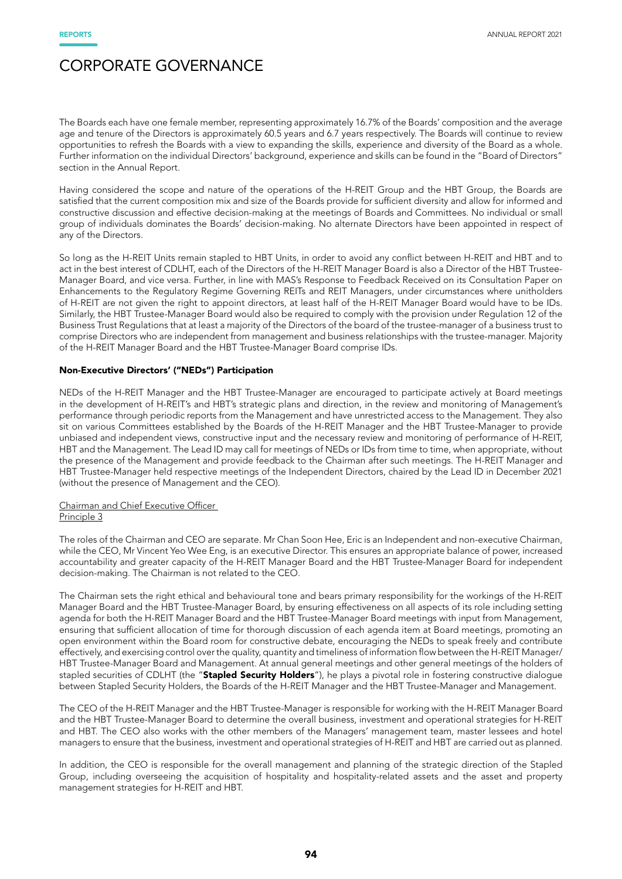The Boards each have one female member, representing approximately 16.7% of the Boards' composition and the average age and tenure of the Directors is approximately 60.5 years and 6.7 years respectively. The Boards will continue to review opportunities to refresh the Boards with a view to expanding the skills, experience and diversity of the Board as a whole. Further information on the individual Directors' background, experience and skills can be found in the "Board of Directors" section in the Annual Report.

Having considered the scope and nature of the operations of the H-REIT Group and the HBT Group, the Boards are satisfied that the current composition mix and size of the Boards provide for sufficient diversity and allow for informed and constructive discussion and effective decision-making at the meetings of Boards and Committees. No individual or small group of individuals dominates the Boards' decision-making. No alternate Directors have been appointed in respect of any of the Directors.

So long as the H-REIT Units remain stapled to HBT Units, in order to avoid any conflict between H-REIT and HBT and to act in the best interest of CDLHT, each of the Directors of the H-REIT Manager Board is also a Director of the HBT Trustee-Manager Board, and vice versa. Further, in line with MAS's Response to Feedback Received on its Consultation Paper on Enhancements to the Regulatory Regime Governing REITs and REIT Managers, under circumstances where unitholders of H-REIT are not given the right to appoint directors, at least half of the H-REIT Manager Board would have to be IDs. Similarly, the HBT Trustee-Manager Board would also be required to comply with the provision under Regulation 12 of the Business Trust Regulations that at least a majority of the Directors of the board of the trustee-manager of a business trust to comprise Directors who are independent from management and business relationships with the trustee-manager. Majority of the H-REIT Manager Board and the HBT Trustee-Manager Board comprise IDs.

# Non-Executive Directors' ("NEDs") Participation

NEDs of the H-REIT Manager and the HBT Trustee-Manager are encouraged to participate actively at Board meetings in the development of H-REIT's and HBT's strategic plans and direction, in the review and monitoring of Management's performance through periodic reports from the Management and have unrestricted access to the Management. They also sit on various Committees established by the Boards of the H-REIT Manager and the HBT Trustee-Manager to provide unbiased and independent views, constructive input and the necessary review and monitoring of performance of H-REIT, HBT and the Management. The Lead ID may call for meetings of NEDs or IDs from time to time, when appropriate, without the presence of the Management and provide feedback to the Chairman after such meetings. The H-REIT Manager and HBT Trustee-Manager held respective meetings of the Independent Directors, chaired by the Lead ID in December 2021 (without the presence of Management and the CEO).

# Chairman and Chief Executive Officer

# Principle 3

The roles of the Chairman and CEO are separate. Mr Chan Soon Hee, Eric is an Independent and non-executive Chairman, while the CEO, Mr Vincent Yeo Wee Eng, is an executive Director. This ensures an appropriate balance of power, increased accountability and greater capacity of the H-REIT Manager Board and the HBT Trustee-Manager Board for independent decision-making. The Chairman is not related to the CEO.

The Chairman sets the right ethical and behavioural tone and bears primary responsibility for the workings of the H-REIT Manager Board and the HBT Trustee-Manager Board, by ensuring effectiveness on all aspects of its role including setting agenda for both the H-REIT Manager Board and the HBT Trustee-Manager Board meetings with input from Management, ensuring that sufficient allocation of time for thorough discussion of each agenda item at Board meetings, promoting an open environment within the Board room for constructive debate, encouraging the NEDs to speak freely and contribute effectively, and exercising control over the quality, quantity and timeliness of information flow between the H-REIT Manager/ HBT Trustee-Manager Board and Management. At annual general meetings and other general meetings of the holders of stapled securities of CDLHT (the "Stapled Security Holders"), he plays a pivotal role in fostering constructive dialogue between Stapled Security Holders, the Boards of the H-REIT Manager and the HBT Trustee-Manager and Management.

The CEO of the H-REIT Manager and the HBT Trustee-Manager is responsible for working with the H-REIT Manager Board and the HBT Trustee-Manager Board to determine the overall business, investment and operational strategies for H-REIT and HBT. The CEO also works with the other members of the Managers' management team, master lessees and hotel managers to ensure that the business, investment and operational strategies of H-REIT and HBT are carried out as planned.

In addition, the CEO is responsible for the overall management and planning of the strategic direction of the Stapled Group, including overseeing the acquisition of hospitality and hospitality-related assets and the asset and property management strategies for H-REIT and HBT.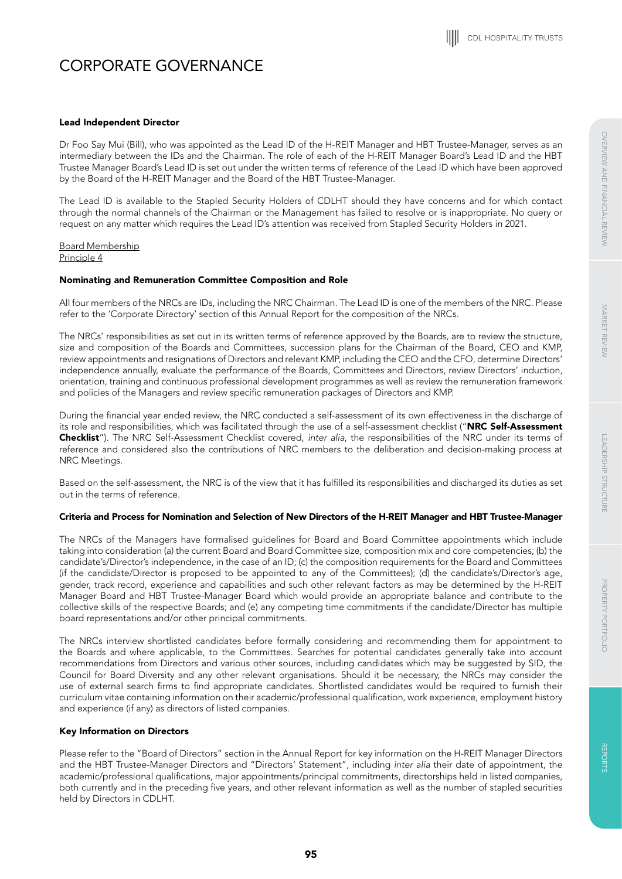**REPCRIN** 

REPORTS

# Lead Independent Director

Dr Foo Say Mui (Bill), who was appointed as the Lead ID of the H-REIT Manager and HBT Trustee-Manager, serves as an intermediary between the IDs and the Chairman. The role of each of the H-REIT Manager Board's Lead ID and the HBT Trustee Manager Board's Lead ID is set out under the written terms of reference of the Lead ID which have been approved by the Board of the H-REIT Manager and the Board of the HBT Trustee-Manager.

The Lead ID is available to the Stapled Security Holders of CDLHT should they have concerns and for which contact through the normal channels of the Chairman or the Management has failed to resolve or is inappropriate. No query or request on any matter which requires the Lead ID's attention was received from Stapled Security Holders in 2021.

Board Membership Principle 4

# Nominating and Remuneration Committee Composition and Role

All four members of the NRCs are IDs, including the NRC Chairman. The Lead ID is one of the members of the NRC. Please refer to the 'Corporate Directory' section of this Annual Report for the composition of the NRCs.

The NRCs' responsibilities as set out in its written terms of reference approved by the Boards, are to review the structure, size and composition of the Boards and Committees, succession plans for the Chairman of the Board, CEO and KMP, review appointments and resignations of Directors and relevant KMP, including the CEO and the CFO, determine Directors' independence annually, evaluate the performance of the Boards, Committees and Directors, review Directors' induction, orientation, training and continuous professional development programmes as well as review the remuneration framework and policies of the Managers and review specific remuneration packages of Directors and KMP.

During the financial year ended review, the NRC conducted a self-assessment of its own effectiveness in the discharge of its role and responsibilities, which was facilitated through the use of a self-assessment checklist ("NRC Self-Assessment Checklist"). The NRC Self-Assessment Checklist covered, *inter alia*, the responsibilities of the NRC under its terms of reference and considered also the contributions of NRC members to the deliberation and decision-making process at NRC Meetings.

Based on the self-assessment, the NRC is of the view that it has fulfilled its responsibilities and discharged its duties as set out in the terms of reference.

# Criteria and Process for Nomination and Selection of New Directors of the H-REIT Manager and HBT Trustee-Manager

The NRCs of the Managers have formalised guidelines for Board and Board Committee appointments which include taking into consideration (a) the current Board and Board Committee size, composition mix and core competencies; (b) the candidate's/Director's independence, in the case of an ID; (c) the composition requirements for the Board and Committees (if the candidate/Director is proposed to be appointed to any of the Committees); (d) the candidate's/Director's age, gender, track record, experience and capabilities and such other relevant factors as may be determined by the H-REIT Manager Board and HBT Trustee-Manager Board which would provide an appropriate balance and contribute to the collective skills of the respective Boards; and (e) any competing time commitments if the candidate/Director has multiple board representations and/or other principal commitments.

The NRCs interview shortlisted candidates before formally considering and recommending them for appointment to the Boards and where applicable, to the Committees. Searches for potential candidates generally take into account recommendations from Directors and various other sources, including candidates which may be suggested by SID, the Council for Board Diversity and any other relevant organisations. Should it be necessary, the NRCs may consider the use of external search firms to find appropriate candidates. Shortlisted candidates would be required to furnish their curriculum vitae containing information on their academic/professional qualification, work experience, employment history and experience (if any) as directors of listed companies.

# Key Information on Directors

Please refer to the "Board of Directors" section in the Annual Report for key information on the H-REIT Manager Directors and the HBT Trustee-Manager Directors and "Directors' Statement", including *inter alia* their date of appointment, the academic/professional qualifications, major appointments/principal commitments, directorships held in listed companies, both currently and in the preceding five years, and other relevant information as well as the number of stapled securities held by Directors in CDLHT.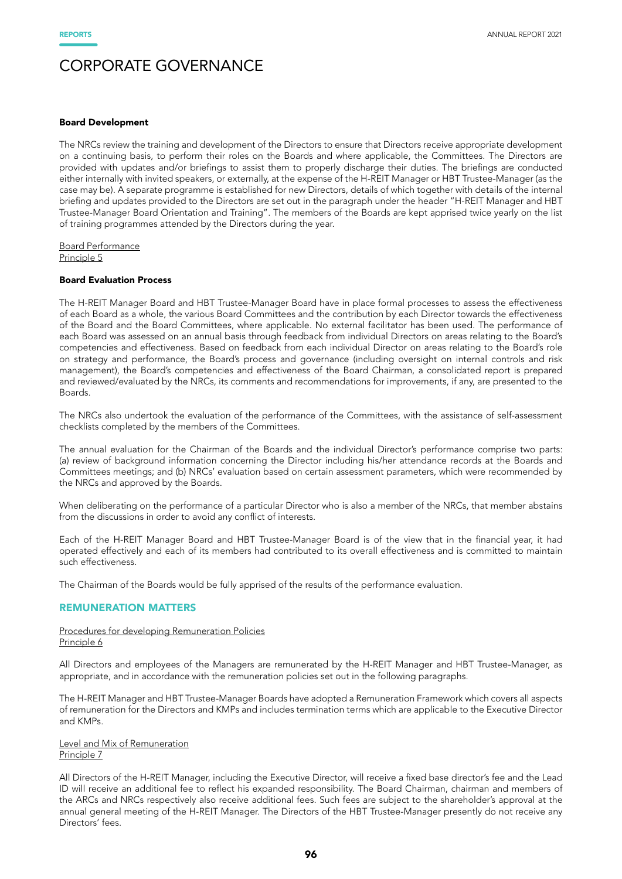#### Board Development

The NRCs review the training and development of the Directors to ensure that Directors receive appropriate development on a continuing basis, to perform their roles on the Boards and where applicable, the Committees. The Directors are provided with updates and/or briefings to assist them to properly discharge their duties. The briefings are conducted either internally with invited speakers, or externally, at the expense of the H-REIT Manager or HBT Trustee-Manager (as the case may be). A separate programme is established for new Directors, details of which together with details of the internal briefing and updates provided to the Directors are set out in the paragraph under the header "H-REIT Manager and HBT Trustee-Manager Board Orientation and Training". The members of the Boards are kept apprised twice yearly on the list of training programmes attended by the Directors during the year.

Board Performance Principle 5

# Board Evaluation Process

The H-REIT Manager Board and HBT Trustee-Manager Board have in place formal processes to assess the effectiveness of each Board as a whole, the various Board Committees and the contribution by each Director towards the effectiveness of the Board and the Board Committees, where applicable. No external facilitator has been used. The performance of each Board was assessed on an annual basis through feedback from individual Directors on areas relating to the Board's competencies and effectiveness. Based on feedback from each individual Director on areas relating to the Board's role on strategy and performance, the Board's process and governance (including oversight on internal controls and risk management), the Board's competencies and effectiveness of the Board Chairman, a consolidated report is prepared and reviewed/evaluated by the NRCs, its comments and recommendations for improvements, if any, are presented to the Boards.

The NRCs also undertook the evaluation of the performance of the Committees, with the assistance of self-assessment checklists completed by the members of the Committees.

The annual evaluation for the Chairman of the Boards and the individual Director's performance comprise two parts: (a) review of background information concerning the Director including his/her attendance records at the Boards and Committees meetings; and (b) NRCs' evaluation based on certain assessment parameters, which were recommended by the NRCs and approved by the Boards.

When deliberating on the performance of a particular Director who is also a member of the NRCs, that member abstains from the discussions in order to avoid any conflict of interests.

Each of the H-REIT Manager Board and HBT Trustee-Manager Board is of the view that in the financial year, it had operated effectively and each of its members had contributed to its overall effectiveness and is committed to maintain such effectiveness.

The Chairman of the Boards would be fully apprised of the results of the performance evaluation.

### REMUNERATION MATTERS

### Procedures for developing Remuneration Policies Principle 6

All Directors and employees of the Managers are remunerated by the H-REIT Manager and HBT Trustee-Manager, as appropriate, and in accordance with the remuneration policies set out in the following paragraphs.

The H-REIT Manager and HBT Trustee-Manager Boards have adopted a Remuneration Framework which covers all aspects of remuneration for the Directors and KMPs and includes termination terms which are applicable to the Executive Director and KMPs.

### Level and Mix of Remuneration Principle 7

All Directors of the H-REIT Manager, including the Executive Director, will receive a fixed base director's fee and the Lead ID will receive an additional fee to reflect his expanded responsibility. The Board Chairman, chairman and members of the ARCs and NRCs respectively also receive additional fees. Such fees are subject to the shareholder's approval at the annual general meeting of the H-REIT Manager. The Directors of the HBT Trustee-Manager presently do not receive any Directors' fees.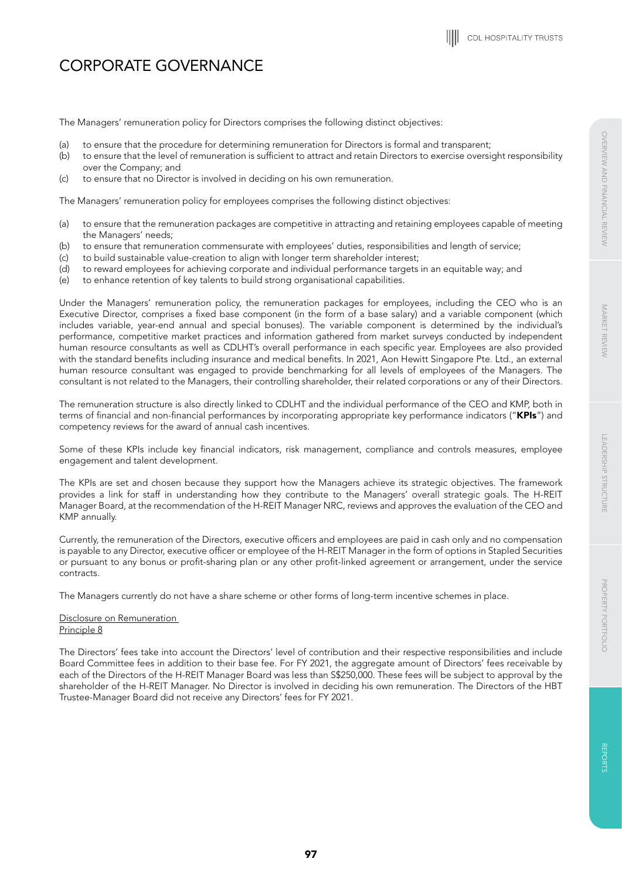The Managers' remuneration policy for Directors comprises the following distinct objectives:

- (a) to ensure that the procedure for determining remuneration for Directors is formal and transparent;
- (b) to ensure that the level of remuneration is sufficient to attract and retain Directors to exercise oversight responsibility over the Company; and
- (c) to ensure that no Director is involved in deciding on his own remuneration.

The Managers' remuneration policy for employees comprises the following distinct objectives:

- (a) to ensure that the remuneration packages are competitive in attracting and retaining employees capable of meeting the Managers' needs;
- (b) to ensure that remuneration commensurate with employees' duties, responsibilities and length of service;
- (c) to build sustainable value-creation to align with longer term shareholder interest;
- (d) to reward employees for achieving corporate and individual performance targets in an equitable way; and
- (e) to enhance retention of key talents to build strong organisational capabilities.

Under the Managers' remuneration policy, the remuneration packages for employees, including the CEO who is an Executive Director, comprises a fixed base component (in the form of a base salary) and a variable component (which includes variable, year-end annual and special bonuses). The variable component is determined by the individual's performance, competitive market practices and information gathered from market surveys conducted by independent human resource consultants as well as CDLHT's overall performance in each specific year. Employees are also provided with the standard benefits including insurance and medical benefits. In 2021, Aon Hewitt Singapore Pte. Ltd., an external human resource consultant was engaged to provide benchmarking for all levels of employees of the Managers. The consultant is not related to the Managers, their controlling shareholder, their related corporations or any of their Directors.

The remuneration structure is also directly linked to CDLHT and the individual performance of the CEO and KMP, both in terms of financial and non-financial performances by incorporating appropriate key performance indicators ("KPIs") and competency reviews for the award of annual cash incentives.

Some of these KPIs include key financial indicators, risk management, compliance and controls measures, employee engagement and talent development.

The KPIs are set and chosen because they support how the Managers achieve its strategic objectives. The framework provides a link for staff in understanding how they contribute to the Managers' overall strategic goals. The H-REIT Manager Board, at the recommendation of the H-REIT Manager NRC, reviews and approves the evaluation of the CEO and KMP annually.

Currently, the remuneration of the Directors, executive officers and employees are paid in cash only and no compensation is payable to any Director, executive officer or employee of the H-REIT Manager in the form of options in Stapled Securities or pursuant to any bonus or profit-sharing plan or any other profit-linked agreement or arrangement, under the service contracts.

The Managers currently do not have a share scheme or other forms of long-term incentive schemes in place.

# Disclosure on Remuneration Principle 8

The Directors' fees take into account the Directors' level of contribution and their respective responsibilities and include Board Committee fees in addition to their base fee. For FY 2021, the aggregate amount of Directors' fees receivable by each of the Directors of the H-REIT Manager Board was less than S\$250,000. These fees will be subject to approval by the shareholder of the H-REIT Manager. No Director is involved in deciding his own remuneration. The Directors of the HBT Trustee-Manager Board did not receive any Directors' fees for FY 2021.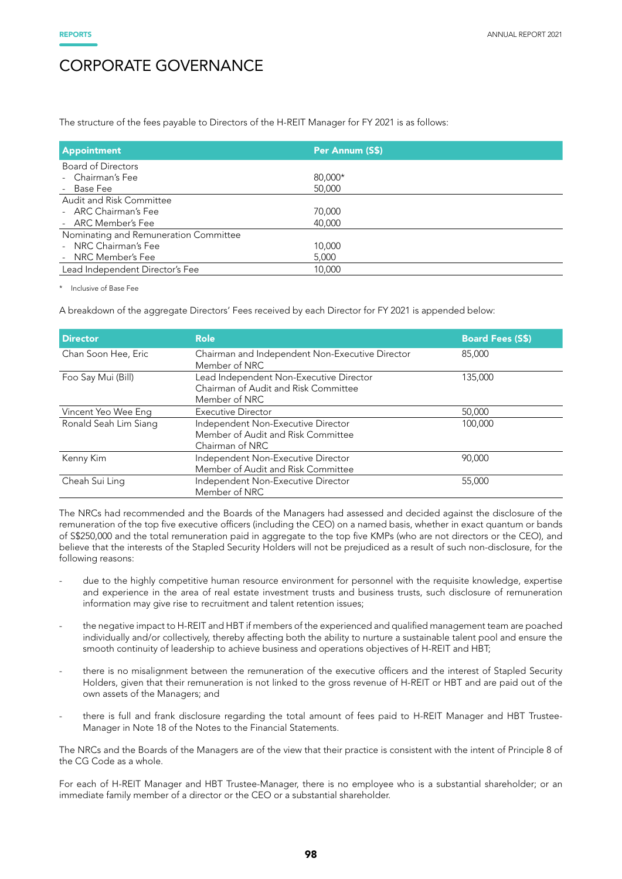The structure of the fees payable to Directors of the H-REIT Manager for FY 2021 is as follows:

| <b>Appointment</b>                    | Per Annum (S\$) |
|---------------------------------------|-----------------|
| <b>Board of Directors</b>             |                 |
| - Chairman's Fee                      | 80,000*         |
| - Base Fee                            | 50,000          |
| Audit and Risk Committee              |                 |
| - ARC Chairman's Fee                  | 70,000          |
| - ARC Member's Fee                    | 40,000          |
| Nominating and Remuneration Committee |                 |
| - NRC Chairman's Fee                  | 10,000          |
| - NRC Member's Fee                    | 5,000           |
| Lead Independent Director's Fee       | 10,000          |

\* Inclusive of Base Fee

A breakdown of the aggregate Directors' Fees received by each Director for FY 2021 is appended below:

| <b>Director</b>       | <b>Role</b>                                                                                      | <b>Board Fees (S\$)</b> |
|-----------------------|--------------------------------------------------------------------------------------------------|-------------------------|
| Chan Soon Hee, Eric   | Chairman and Independent Non-Executive Director<br>Member of NRC                                 | 85,000                  |
| Foo Say Mui (Bill)    | Lead Independent Non-Executive Director<br>Chairman of Audit and Risk Committee<br>Member of NRC | 135,000                 |
| Vincent Yeo Wee Eng   | <b>Executive Director</b>                                                                        | 50,000                  |
| Ronald Seah Lim Siang | Independent Non-Executive Director<br>Member of Audit and Risk Committee<br>Chairman of NRC      | 100,000                 |
| Kenny Kim             | Independent Non-Executive Director<br>Member of Audit and Risk Committee                         | 90,000                  |
| Cheah Sui Ling        | Independent Non-Executive Director<br>Member of NRC                                              | 55,000                  |

The NRCs had recommended and the Boards of the Managers had assessed and decided against the disclosure of the remuneration of the top five executive officers (including the CEO) on a named basis, whether in exact quantum or bands of S\$250,000 and the total remuneration paid in aggregate to the top five KMPs (who are not directors or the CEO), and believe that the interests of the Stapled Security Holders will not be prejudiced as a result of such non-disclosure, for the following reasons:

- due to the highly competitive human resource environment for personnel with the requisite knowledge, expertise and experience in the area of real estate investment trusts and business trusts, such disclosure of remuneration information may give rise to recruitment and talent retention issues;
- the negative impact to H-REIT and HBT if members of the experienced and qualified management team are poached individually and/or collectively, thereby affecting both the ability to nurture a sustainable talent pool and ensure the smooth continuity of leadership to achieve business and operations objectives of H-REIT and HBT;
- there is no misalignment between the remuneration of the executive officers and the interest of Stapled Security Holders, given that their remuneration is not linked to the gross revenue of H-REIT or HBT and are paid out of the own assets of the Managers; and
- there is full and frank disclosure regarding the total amount of fees paid to H-REIT Manager and HBT Trustee-Manager in Note 18 of the Notes to the Financial Statements.

The NRCs and the Boards of the Managers are of the view that their practice is consistent with the intent of Principle 8 of the CG Code as a whole.

For each of H-REIT Manager and HBT Trustee-Manager, there is no employee who is a substantial shareholder; or an immediate family member of a director or the CEO or a substantial shareholder.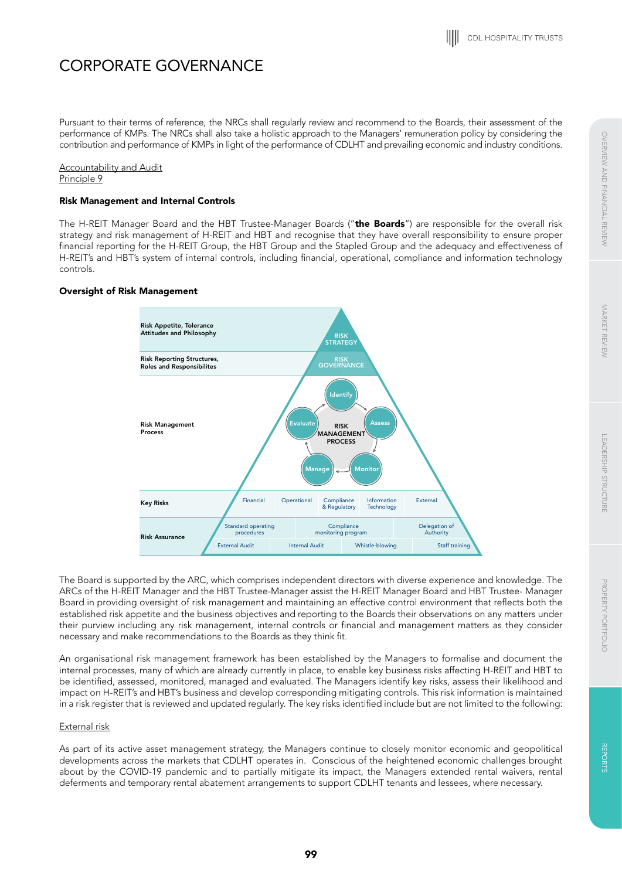Pursuant to their terms of reference, the NRCs shall regularly review and recommend to the Boards, their assessment of the performance of KMPs. The NRCs shall also take a holistic approach to the Managers' remuneration policy by considering the contribution and performance of KMPs in light of the performance of CDLHT and prevailing economic and industry conditions.

Accountability and Audit Principle 9

# Risk Management and Internal Controls

The H-REIT Manager Board and the HBT Trustee-Manager Boards ("the Boards") are responsible for the overall risk strategy and risk management of H-REIT and HBT and recognise that they have overall responsibility to ensure proper financial reporting for the H-REIT Group, the HBT Group and the Stapled Group and the adequacy and effectiveness of H-REIT's and HBT's system of internal controls, including financial, operational, compliance and information technology controls.

## Oversight of Risk Management



The Board is supported by the ARC, which comprises independent directors with diverse experience and knowledge. The ARCs of the H-REIT Manager and the HBT Trustee-Manager assist the H-REIT Manager Board and HBT Trustee- Manager Board in providing oversight of risk management and maintaining an effective control environment that reflects both the established risk appetite and the business objectives and reporting to the Boards their observations on any matters under their purview including any risk management, internal controls or financial and management matters as they consider necessary and make recommendations to the Boards as they think fit.

An organisational risk management framework has been established by the Managers to formalise and document the internal processes, many of which are already currently in place, to enable key business risks affecting H-REIT and HBT to be identified, assessed, monitored, managed and evaluated. The Managers identify key risks, assess their likelihood and impact on H-REIT's and HBT's business and develop corresponding mitigating controls. This risk information is maintained in a risk register that is reviewed and updated regularly. The key risks identified include but are not limited to the following:

### External risk

As part of its active asset management strategy, the Managers continue to closely monitor economic and geopolitical developments across the markets that CDLHT operates in. Conscious of the heightened economic challenges brought about by the COVID-19 pandemic and to partially mitigate its impact, the Managers extended rental waivers, rental deferments and temporary rental abatement arrangements to support CDLHT tenants and lessees, where necessary.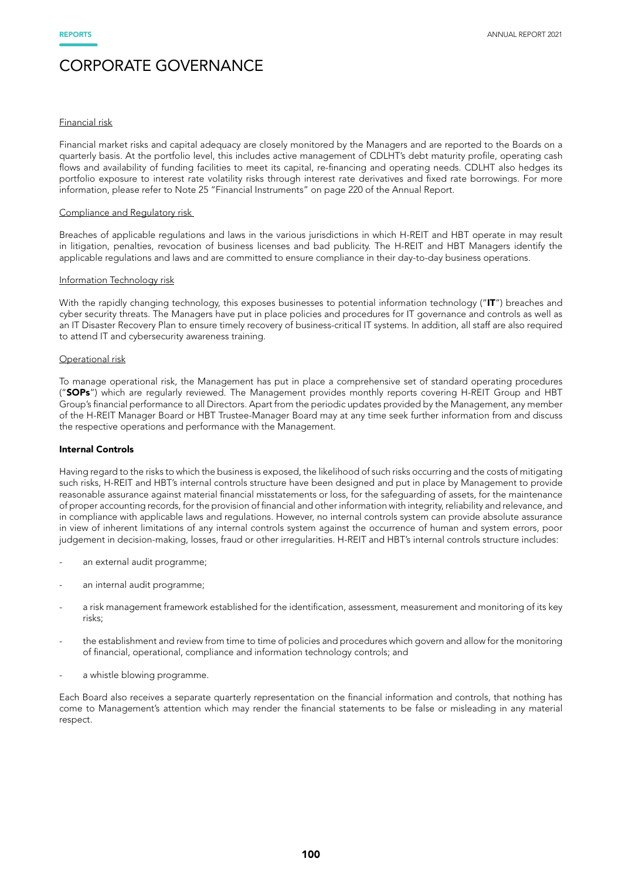## Financial risk

Financial market risks and capital adequacy are closely monitored by the Managers and are reported to the Boards on a quarterly basis. At the portfolio level, this includes active management of CDLHT's debt maturity profile, operating cash flows and availability of funding facilities to meet its capital, re-financing and operating needs. CDLHT also hedges its portfolio exposure to interest rate volatility risks through interest rate derivatives and fixed rate borrowings. For more information, please refer to Note 25 "Financial Instruments" on page 220 of the Annual Report.

#### Compliance and Regulatory risk

Breaches of applicable regulations and laws in the various jurisdictions in which H-REIT and HBT operate in may result in litigation, penalties, revocation of business licenses and bad publicity. The H-REIT and HBT Managers identify the applicable regulations and laws and are committed to ensure compliance in their day-to-day business operations.

#### Information Technology risk

With the rapidly changing technology, this exposes businesses to potential information technology ("IT") breaches and cyber security threats. The Managers have put in place policies and procedures for IT governance and controls as well as an IT Disaster Recovery Plan to ensure timely recovery of business-critical IT systems. In addition, all staff are also required to attend IT and cybersecurity awareness training.

#### Operational risk

To manage operational risk, the Management has put in place a comprehensive set of standard operating procedures ("SOPs") which are regularly reviewed. The Management provides monthly reports covering H-REIT Group and HBT Group's financial performance to all Directors. Apart from the periodic updates provided by the Management, any member of the H-REIT Manager Board or HBT Trustee-Manager Board may at any time seek further information from and discuss the respective operations and performance with the Management.

#### Internal Controls

Having regard to the risks to which the business is exposed, the likelihood of such risks occurring and the costs of mitigating such risks, H-REIT and HBT's internal controls structure have been designed and put in place by Management to provide reasonable assurance against material financial misstatements or loss, for the safeguarding of assets, for the maintenance of proper accounting records, for the provision of financial and other information with integrity, reliability and relevance, and in compliance with applicable laws and regulations. However, no internal controls system can provide absolute assurance in view of inherent limitations of any internal controls system against the occurrence of human and system errors, poor judgement in decision-making, losses, fraud or other irregularities. H-REIT and HBT's internal controls structure includes:

- an external audit programme;
- an internal audit programme;
- a risk management framework established for the identification, assessment, measurement and monitoring of its key risks;
- the establishment and review from time to time of policies and procedures which govern and allow for the monitoring of financial, operational, compliance and information technology controls; and
- a whistle blowing programme.

Each Board also receives a separate quarterly representation on the financial information and controls, that nothing has come to Management's attention which may render the financial statements to be false or misleading in any material respect.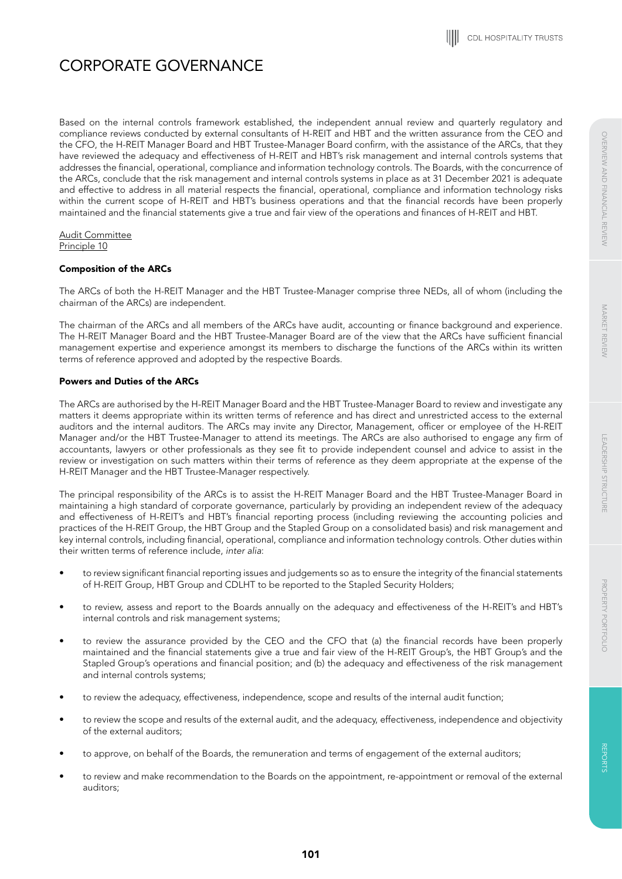Based on the internal controls framework established, the independent annual review and quarterly regulatory and compliance reviews conducted by external consultants of H-REIT and HBT and the written assurance from the CEO and the CFO, the H-REIT Manager Board and HBT Trustee-Manager Board confirm, with the assistance of the ARCs, that they have reviewed the adequacy and effectiveness of H-REIT and HBT's risk management and internal controls systems that addresses the financial, operational, compliance and information technology controls. The Boards, with the concurrence of the ARCs, conclude that the risk management and internal controls systems in place as at 31 December 2021 is adequate and effective to address in all material respects the financial, operational, compliance and information technology risks within the current scope of H-REIT and HBT's business operations and that the financial records have been properly maintained and the financial statements give a true and fair view of the operations and finances of H-REIT and HBT.

Audit Committee Principle 10

## Composition of the ARCs

The ARCs of both the H-REIT Manager and the HBT Trustee-Manager comprise three NEDs, all of whom (including the chairman of the ARCs) are independent.

The chairman of the ARCs and all members of the ARCs have audit, accounting or finance background and experience. The H-REIT Manager Board and the HBT Trustee-Manager Board are of the view that the ARCs have sufficient financial management expertise and experience amongst its members to discharge the functions of the ARCs within its written terms of reference approved and adopted by the respective Boards.

# Powers and Duties of the ARCs

The ARCs are authorised by the H-REIT Manager Board and the HBT Trustee-Manager Board to review and investigate any matters it deems appropriate within its written terms of reference and has direct and unrestricted access to the external auditors and the internal auditors. The ARCs may invite any Director, Management, officer or employee of the H-REIT Manager and/or the HBT Trustee-Manager to attend its meetings. The ARCs are also authorised to engage any firm of accountants, lawyers or other professionals as they see fit to provide independent counsel and advice to assist in the review or investigation on such matters within their terms of reference as they deem appropriate at the expense of the H-REIT Manager and the HBT Trustee-Manager respectively.

The principal responsibility of the ARCs is to assist the H-REIT Manager Board and the HBT Trustee-Manager Board in maintaining a high standard of corporate governance, particularly by providing an independent review of the adequacy and effectiveness of H-REIT's and HBT's financial reporting process (including reviewing the accounting policies and practices of the H-REIT Group, the HBT Group and the Stapled Group on a consolidated basis) and risk management and key internal controls, including financial, operational, compliance and information technology controls. Other duties within their written terms of reference include, *inter alia*:

- to review significant financial reporting issues and judgements so as to ensure the integrity of the financial statements of H-REIT Group, HBT Group and CDLHT to be reported to the Stapled Security Holders;
- to review, assess and report to the Boards annually on the adequacy and effectiveness of the H-REIT's and HBT's internal controls and risk management systems;
- to review the assurance provided by the CEO and the CFO that (a) the financial records have been properly maintained and the financial statements give a true and fair view of the H-REIT Group's, the HBT Group's and the Stapled Group's operations and financial position; and (b) the adequacy and effectiveness of the risk management and internal controls systems;
- to review the adequacy, effectiveness, independence, scope and results of the internal audit function;
- to review the scope and results of the external audit, and the adequacy, effectiveness, independence and objectivity of the external auditors;
- to approve, on behalf of the Boards, the remuneration and terms of engagement of the external auditors;
- to review and make recommendation to the Boards on the appointment, re-appointment or removal of the external auditors;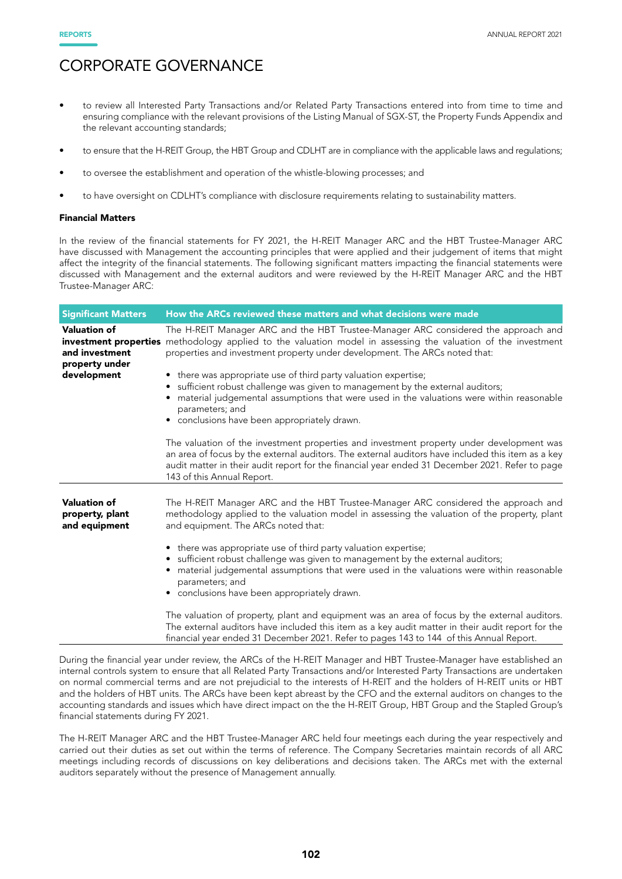- to review all Interested Party Transactions and/or Related Party Transactions entered into from time to time and ensuring compliance with the relevant provisions of the Listing Manual of SGX-ST, the Property Funds Appendix and the relevant accounting standards;
- to ensure that the H-REIT Group, the HBT Group and CDLHT are in compliance with the applicable laws and regulations;
- to oversee the establishment and operation of the whistle-blowing processes; and
- to have oversight on CDLHT's compliance with disclosure requirements relating to sustainability matters.

#### Financial Matters

In the review of the financial statements for FY 2021, the H-REIT Manager ARC and the HBT Trustee-Manager ARC have discussed with Management the accounting principles that were applied and their judgement of items that might affect the integrity of the financial statements. The following significant matters impacting the financial statements were discussed with Management and the external auditors and were reviewed by the H-REIT Manager ARC and the HBT Trustee-Manager ARC:

| <b>Significant Matters</b>                              | How the ARCs reviewed these matters and what decisions were made                                                                                                                                                                                                                                                               |
|---------------------------------------------------------|--------------------------------------------------------------------------------------------------------------------------------------------------------------------------------------------------------------------------------------------------------------------------------------------------------------------------------|
| <b>Valuation of</b><br>and investment<br>property under | The H-REIT Manager ARC and the HBT Trustee-Manager ARC considered the approach and<br>investment properties methodology applied to the valuation model in assessing the valuation of the investment<br>properties and investment property under development. The ARCs noted that:                                              |
| development                                             | • there was appropriate use of third party valuation expertise;<br>• sufficient robust challenge was given to management by the external auditors;<br>material judgemental assumptions that were used in the valuations were within reasonable<br>parameters; and<br>• conclusions have been appropriately drawn.              |
|                                                         | The valuation of the investment properties and investment property under development was<br>an area of focus by the external auditors. The external auditors have included this item as a key<br>audit matter in their audit report for the financial year ended 31 December 2021. Refer to page<br>143 of this Annual Report. |
| <b>Valuation of</b><br>property, plant<br>and equipment | The H-REIT Manager ARC and the HBT Trustee-Manager ARC considered the approach and<br>methodology applied to the valuation model in assessing the valuation of the property, plant<br>and equipment. The ARCs noted that:<br>• there was appropriate use of third party valuation expertise;                                   |
|                                                         | • sufficient robust challenge was given to management by the external auditors;<br>material judgemental assumptions that were used in the valuations were within reasonable<br>parameters; and<br>• conclusions have been appropriately drawn.                                                                                 |
|                                                         | The valuation of property, plant and equipment was an area of focus by the external auditors.<br>The external auditors have included this item as a key audit matter in their audit report for the<br>financial year ended 31 December 2021. Refer to pages 143 to 144 of this Annual Report.                                  |

During the financial year under review, the ARCs of the H-REIT Manager and HBT Trustee-Manager have established an internal controls system to ensure that all Related Party Transactions and/or Interested Party Transactions are undertaken on normal commercial terms and are not prejudicial to the interests of H-REIT and the holders of H-REIT units or HBT and the holders of HBT units. The ARCs have been kept abreast by the CFO and the external auditors on changes to the accounting standards and issues which have direct impact on the the H-REIT Group, HBT Group and the Stapled Group's financial statements during FY 2021.

The H-REIT Manager ARC and the HBT Trustee-Manager ARC held four meetings each during the year respectively and carried out their duties as set out within the terms of reference. The Company Secretaries maintain records of all ARC meetings including records of discussions on key deliberations and decisions taken. The ARCs met with the external auditors separately without the presence of Management annually.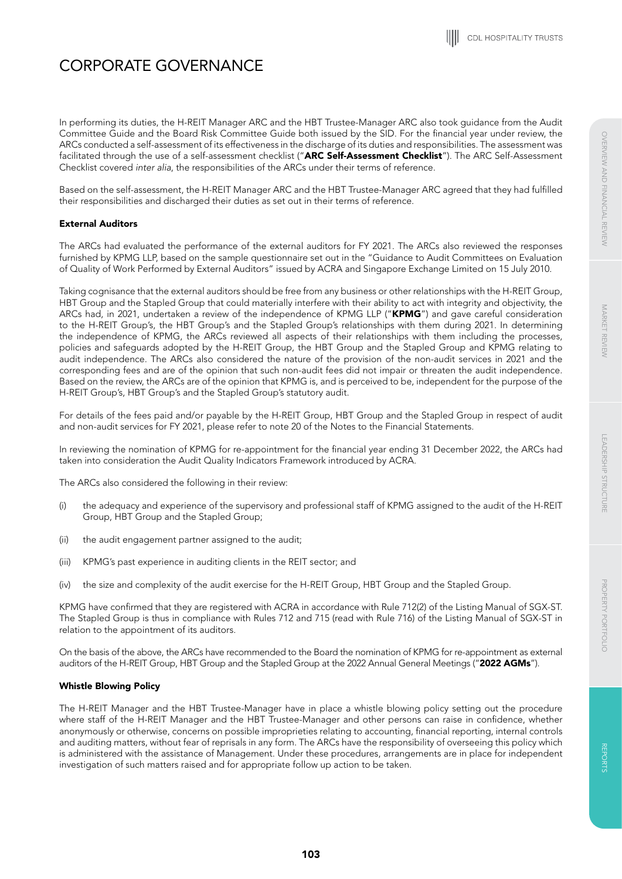In performing its duties, the H-REIT Manager ARC and the HBT Trustee-Manager ARC also took guidance from the Audit Committee Guide and the Board Risk Committee Guide both issued by the SID. For the financial year under review, the ARCs conducted a self-assessment of its effectiveness in the discharge of its duties and responsibilities. The assessment was facilitated through the use of a self-assessment checklist ("ARC Self-Assessment Checklist"). The ARC Self-Assessment Checklist covered *inter alia*, the responsibilities of the ARCs under their terms of reference.

Based on the self-assessment, the H-REIT Manager ARC and the HBT Trustee-Manager ARC agreed that they had fulfilled their responsibilities and discharged their duties as set out in their terms of reference.

# External Auditors

The ARCs had evaluated the performance of the external auditors for FY 2021. The ARCs also reviewed the responses furnished by KPMG LLP, based on the sample questionnaire set out in the "Guidance to Audit Committees on Evaluation of Quality of Work Performed by External Auditors" issued by ACRA and Singapore Exchange Limited on 15 July 2010.

Taking cognisance that the external auditors should be free from any business or other relationships with the H-REIT Group, HBT Group and the Stapled Group that could materially interfere with their ability to act with integrity and objectivity, the ARCs had, in 2021, undertaken a review of the independence of KPMG LLP ("KPMG") and gave careful consideration to the H-REIT Group's, the HBT Group's and the Stapled Group's relationships with them during 2021. In determining the independence of KPMG, the ARCs reviewed all aspects of their relationships with them including the processes, policies and safeguards adopted by the H-REIT Group, the HBT Group and the Stapled Group and KPMG relating to audit independence. The ARCs also considered the nature of the provision of the non-audit services in 2021 and the corresponding fees and are of the opinion that such non-audit fees did not impair or threaten the audit independence. Based on the review, the ARCs are of the opinion that KPMG is, and is perceived to be, independent for the purpose of the H-REIT Group's, HBT Group's and the Stapled Group's statutory audit.

For details of the fees paid and/or payable by the H-REIT Group, HBT Group and the Stapled Group in respect of audit and non-audit services for FY 2021, please refer to note 20 of the Notes to the Financial Statements.

In reviewing the nomination of KPMG for re-appointment for the financial year ending 31 December 2022, the ARCs had taken into consideration the Audit Quality Indicators Framework introduced by ACRA.

The ARCs also considered the following in their review:

- (i) the adequacy and experience of the supervisory and professional staff of KPMG assigned to the audit of the H-REIT Group, HBT Group and the Stapled Group;
- (ii) the audit engagement partner assigned to the audit;
- (iii) KPMG's past experience in auditing clients in the REIT sector; and
- (iv) the size and complexity of the audit exercise for the H-REIT Group, HBT Group and the Stapled Group.

KPMG have confirmed that they are registered with ACRA in accordance with Rule 712(2) of the Listing Manual of SGX-ST. The Stapled Group is thus in compliance with Rules 712 and 715 (read with Rule 716) of the Listing Manual of SGX-ST in relation to the appointment of its auditors.

On the basis of the above, the ARCs have recommended to the Board the nomination of KPMG for re-appointment as external auditors of the H-REIT Group, HBT Group and the Stapled Group at the 2022 Annual General Meetings ("2022 AGMs").

# Whistle Blowing Policy

The H-REIT Manager and the HBT Trustee-Manager have in place a whistle blowing policy setting out the procedure where staff of the H-REIT Manager and the HBT Trustee-Manager and other persons can raise in confidence, whether anonymously or otherwise, concerns on possible improprieties relating to accounting, financial reporting, internal controls and auditing matters, without fear of reprisals in any form. The ARCs have the responsibility of overseeing this policy which is administered with the assistance of Management. Under these procedures, arrangements are in place for independent investigation of such matters raised and for appropriate follow up action to be taken.

**REPCRIN** 

REPORTS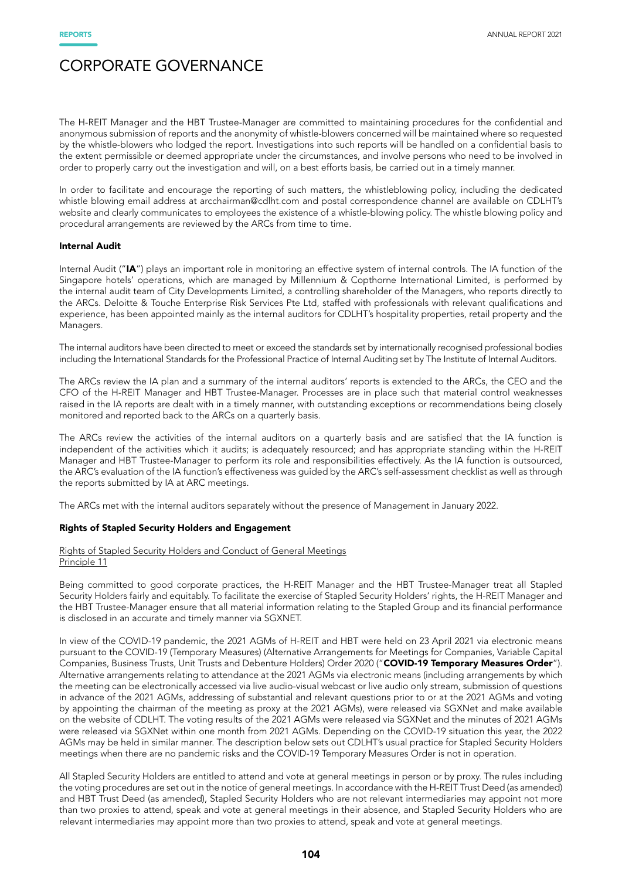The H-REIT Manager and the HBT Trustee-Manager are committed to maintaining procedures for the confidential and anonymous submission of reports and the anonymity of whistle-blowers concerned will be maintained where so requested by the whistle-blowers who lodged the report. Investigations into such reports will be handled on a confidential basis to the extent permissible or deemed appropriate under the circumstances, and involve persons who need to be involved in order to properly carry out the investigation and will, on a best efforts basis, be carried out in a timely manner.

In order to facilitate and encourage the reporting of such matters, the whistleblowing policy, including the dedicated whistle blowing email address at arcchairman@cdlht.com and postal correspondence channel are available on CDLHT's website and clearly communicates to employees the existence of a whistle-blowing policy. The whistle blowing policy and procedural arrangements are reviewed by the ARCs from time to time.

#### Internal Audit

Internal Audit ("IA") plays an important role in monitoring an effective system of internal controls. The IA function of the Singapore hotels' operations, which are managed by Millennium & Copthorne International Limited, is performed by the internal audit team of City Developments Limited, a controlling shareholder of the Managers, who reports directly to the ARCs. Deloitte & Touche Enterprise Risk Services Pte Ltd, staffed with professionals with relevant qualifications and experience, has been appointed mainly as the internal auditors for CDLHT's hospitality properties, retail property and the Managers.

The internal auditors have been directed to meet or exceed the standards set by internationally recognised professional bodies including the International Standards for the Professional Practice of Internal Auditing set by The Institute of Internal Auditors.

The ARCs review the IA plan and a summary of the internal auditors' reports is extended to the ARCs, the CEO and the CFO of the H-REIT Manager and HBT Trustee-Manager. Processes are in place such that material control weaknesses raised in the IA reports are dealt with in a timely manner, with outstanding exceptions or recommendations being closely monitored and reported back to the ARCs on a quarterly basis.

The ARCs review the activities of the internal auditors on a quarterly basis and are satisfied that the IA function is independent of the activities which it audits; is adequately resourced; and has appropriate standing within the H-REIT Manager and HBT Trustee-Manager to perform its role and responsibilities effectively. As the IA function is outsourced, the ARC's evaluation of the IA function's effectiveness was guided by the ARC's self-assessment checklist as well as through the reports submitted by IA at ARC meetings.

The ARCs met with the internal auditors separately without the presence of Management in January 2022.

### Rights of Stapled Security Holders and Engagement

#### Rights of Stapled Security Holders and Conduct of General Meetings Principle 11

Being committed to good corporate practices, the H-REIT Manager and the HBT Trustee-Manager treat all Stapled Security Holders fairly and equitably. To facilitate the exercise of Stapled Security Holders' rights, the H-REIT Manager and the HBT Trustee-Manager ensure that all material information relating to the Stapled Group and its financial performance is disclosed in an accurate and timely manner via SGXNET.

In view of the COVID-19 pandemic, the 2021 AGMs of H-REIT and HBT were held on 23 April 2021 via electronic means pursuant to the COVID-19 (Temporary Measures) (Alternative Arrangements for Meetings for Companies, Variable Capital Companies, Business Trusts, Unit Trusts and Debenture Holders) Order 2020 ("COVID-19 Temporary Measures Order"). Alternative arrangements relating to attendance at the 2021 AGMs via electronic means (including arrangements by which the meeting can be electronically accessed via live audio-visual webcast or live audio only stream, submission of questions in advance of the 2021 AGMs, addressing of substantial and relevant questions prior to or at the 2021 AGMs and voting by appointing the chairman of the meeting as proxy at the 2021 AGMs), were released via SGXNet and make available on the website of CDLHT. The voting results of the 2021 AGMs were released via SGXNet and the minutes of 2021 AGMs were released via SGXNet within one month from 2021 AGMs. Depending on the COVID-19 situation this year, the 2022 AGMs may be held in similar manner. The description below sets out CDLHT's usual practice for Stapled Security Holders meetings when there are no pandemic risks and the COVID-19 Temporary Measures Order is not in operation.

All Stapled Security Holders are entitled to attend and vote at general meetings in person or by proxy. The rules including the voting procedures are set out in the notice of general meetings. In accordance with the H-REIT Trust Deed (as amended) and HBT Trust Deed (as amended), Stapled Security Holders who are not relevant intermediaries may appoint not more than two proxies to attend, speak and vote at general meetings in their absence, and Stapled Security Holders who are relevant intermediaries may appoint more than two proxies to attend, speak and vote at general meetings.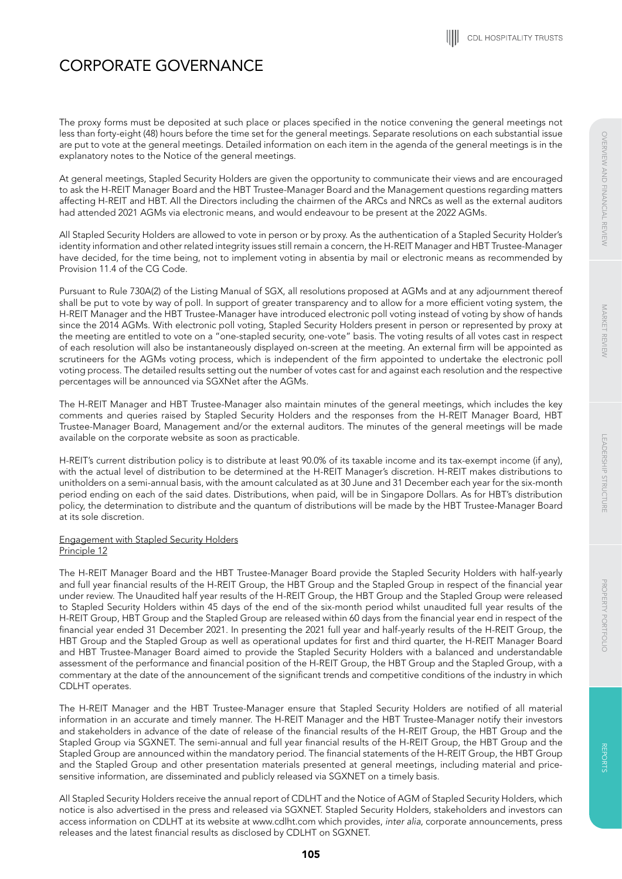LEADERSHIP STRUCTURE

LEADERSHIP STRUCTURE

# CORPORATE GOVERNANCE

The proxy forms must be deposited at such place or places specified in the notice convening the general meetings not less than forty-eight (48) hours before the time set for the general meetings. Separate resolutions on each substantial issue are put to vote at the general meetings. Detailed information on each item in the agenda of the general meetings is in the explanatory notes to the Notice of the general meetings.

At general meetings, Stapled Security Holders are given the opportunity to communicate their views and are encouraged to ask the H-REIT Manager Board and the HBT Trustee-Manager Board and the Management questions regarding matters affecting H-REIT and HBT. All the Directors including the chairmen of the ARCs and NRCs as well as the external auditors had attended 2021 AGMs via electronic means, and would endeavour to be present at the 2022 AGMs.

All Stapled Security Holders are allowed to vote in person or by proxy. As the authentication of a Stapled Security Holder's identity information and other related integrity issues still remain a concern, the H-REIT Manager and HBT Trustee-Manager have decided, for the time being, not to implement voting in absentia by mail or electronic means as recommended by Provision 11.4 of the CG Code.

Pursuant to Rule 730A(2) of the Listing Manual of SGX, all resolutions proposed at AGMs and at any adjournment thereof shall be put to vote by way of poll. In support of greater transparency and to allow for a more efficient voting system, the H-REIT Manager and the HBT Trustee-Manager have introduced electronic poll voting instead of voting by show of hands since the 2014 AGMs. With electronic poll voting, Stapled Security Holders present in person or represented by proxy at the meeting are entitled to vote on a "one-stapled security, one-vote" basis. The voting results of all votes cast in respect of each resolution will also be instantaneously displayed on-screen at the meeting. An external firm will be appointed as scrutineers for the AGMs voting process, which is independent of the firm appointed to undertake the electronic poll voting process. The detailed results setting out the number of votes cast for and against each resolution and the respective percentages will be announced via SGXNet after the AGMs.

The H-REIT Manager and HBT Trustee-Manager also maintain minutes of the general meetings, which includes the key comments and queries raised by Stapled Security Holders and the responses from the H-REIT Manager Board, HBT Trustee-Manager Board, Management and/or the external auditors. The minutes of the general meetings will be made available on the corporate website as soon as practicable.

H-REIT's current distribution policy is to distribute at least 90.0% of its taxable income and its tax-exempt income (if any), with the actual level of distribution to be determined at the H-REIT Manager's discretion. H-REIT makes distributions to unitholders on a semi-annual basis, with the amount calculated as at 30 June and 31 December each year for the six-month period ending on each of the said dates. Distributions, when paid, will be in Singapore Dollars. As for HBT's distribution policy, the determination to distribute and the quantum of distributions will be made by the HBT Trustee-Manager Board at its sole discretion.

# Engagement with Stapled Security Holders Principle 12

The H-REIT Manager Board and the HBT Trustee-Manager Board provide the Stapled Security Holders with half-yearly and full year financial results of the H-REIT Group, the HBT Group and the Stapled Group in respect of the financial year under review. The Unaudited half year results of the H-REIT Group, the HBT Group and the Stapled Group were released to Stapled Security Holders within 45 days of the end of the six-month period whilst unaudited full year results of the H-REIT Group, HBT Group and the Stapled Group are released within 60 days from the financial year end in respect of the financial year ended 31 December 2021. In presenting the 2021 full year and half-yearly results of the H-REIT Group, the HBT Group and the Stapled Group as well as operational updates for first and third quarter, the H-REIT Manager Board and HBT Trustee-Manager Board aimed to provide the Stapled Security Holders with a balanced and understandable assessment of the performance and financial position of the H-REIT Group, the HBT Group and the Stapled Group, with a commentary at the date of the announcement of the significant trends and competitive conditions of the industry in which CDLHT operates.

The H-REIT Manager and the HBT Trustee-Manager ensure that Stapled Security Holders are notified of all material information in an accurate and timely manner. The H-REIT Manager and the HBT Trustee-Manager notify their investors and stakeholders in advance of the date of release of the financial results of the H-REIT Group, the HBT Group and the Stapled Group via SGXNET. The semi-annual and full year financial results of the H-REIT Group, the HBT Group and the Stapled Group are announced within the mandatory period. The financial statements of the H-REIT Group, the HBT Group and the Stapled Group and other presentation materials presented at general meetings, including material and pricesensitive information, are disseminated and publicly released via SGXNET on a timely basis.

All Stapled Security Holders receive the annual report of CDLHT and the Notice of AGM of Stapled Security Holders, which notice is also advertised in the press and released via SGXNET. Stapled Security Holders, stakeholders and investors can access information on CDLHT at its website at www.cdlht.com which provides, *inter alia*, corporate announcements, press releases and the latest financial results as disclosed by CDLHT on SGXNET.

PROPERTY PORTFOLIO

PROPERTY PORTFOLIC